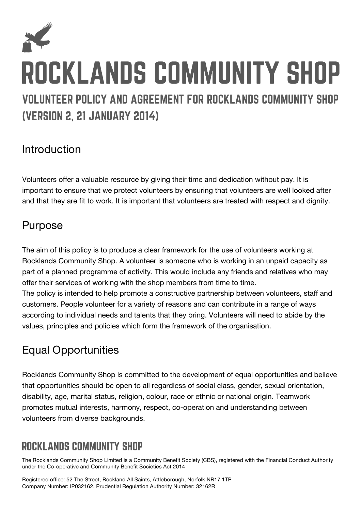

# Introduction

Volunteers offer a valuable resource by giving their time and dedication without pay. It is important to ensure that we protect volunteers by ensuring that volunteers are well looked after and that they are fit to work. It is important that volunteers are treated with respect and dignity.

### Purpose

The aim of this policy is to produce a clear framework for the use of volunteers working at Rocklands Community Shop. A volunteer is someone who is working in an unpaid capacity as part of a planned programme of activity. This would include any friends and relatives who may offer their services of working with the shop members from time to time.

The policy is intended to help promote a constructive partnership between volunteers, staff and customers. People volunteer for a variety of reasons and can contribute in a range of ways according to individual needs and talents that they bring. Volunteers will need to abide by the values, principles and policies which form the framework of the organisation.

## Equal Opportunities

Rocklands Community Shop is committed to the development of equal opportunities and believe that opportunities should be open to all regardless of social class, gender, sexual orientation, disability, age, marital status, religion, colour, race or ethnic or national origin. Teamwork promotes mutual interests, harmony, respect, co-operation and understanding between volunteers from diverse backgrounds.

# **ROCKLANDS COMMUNITY SHOP**

The Rocklands Community Shop Limited is a Community Benefit Society (CBS), registered with the Financial Conduct Authority under the Co-operative and Community Benefit Societies Act 2014

Registered office: 52 The Street, Rockland All Saints, Attleborough, Norfolk NR17 1TP Company Number: IP032162. Prudential Regulation Authority Number: 32162R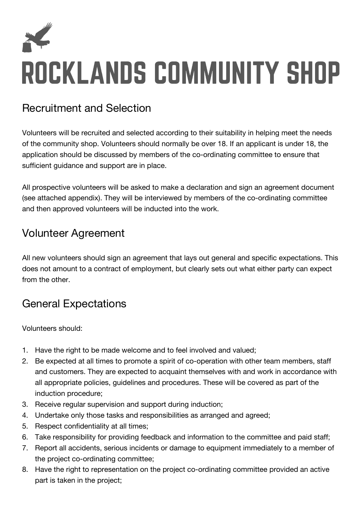

### Recruitment and Selection

Volunteers will be recruited and selected according to their suitability in helping meet the needs of the community shop. Volunteers should normally be over 18. If an applicant is under 18, the application should be discussed by members of the co-ordinating committee to ensure that sufficient guidance and support are in place.

All prospective volunteers will be asked to make a declaration and sign an agreement document (see attached appendix). They will be interviewed by members of the co-ordinating committee and then approved volunteers will be inducted into the work.

### Volunteer Agreement

All new volunteers should sign an agreement that lays out general and specific expectations. This does not amount to a contract of employment, but clearly sets out what either party can expect from the other.

### General Expectations

Volunteers should:

- 1. Have the right to be made welcome and to feel involved and valued;
- 2. Be expected at all times to promote a spirit of co-operation with other team members, staff and customers. They are expected to acquaint themselves with and work in accordance with all appropriate policies, guidelines and procedures. These will be covered as part of the induction procedure;
- 3. Receive regular supervision and support during induction;
- 4. Undertake only those tasks and responsibilities as arranged and agreed;
- 5. Respect confidentiality at all times;
- 6. Take responsibility for providing feedback and information to the committee and paid staff;
- 7. Report all accidents, serious incidents or damage to equipment immediately to a member of the project co-ordinating committee;
- 8. Have the right to representation on the project co-ordinating committee provided an active part is taken in the project;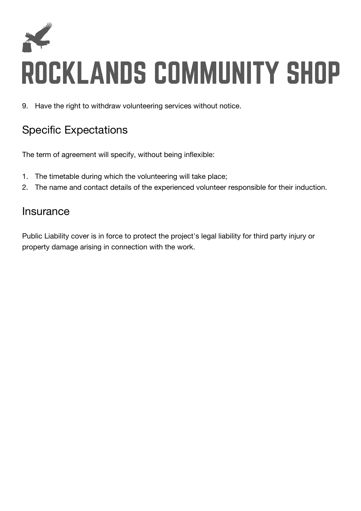

9. Have the right to withdraw volunteering services without notice.

## Specific Expectations

The term of agreement will specify, without being inflexible:

- 1. The timetable during which the volunteering will take place;
- 2. The name and contact details of the experienced volunteer responsible for their induction.

### Insurance

Public Liability cover is in force to protect the project's legal liability for third party injury or property damage arising in connection with the work.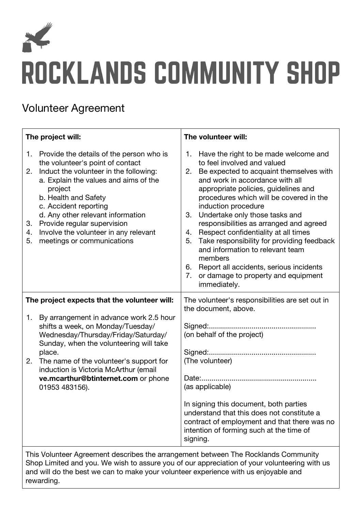

### Volunteer Agreement

| The project will:                                                                                                                                                                  |                                                                                                                                                                                                                                                                                                                                                                           | The volunteer will:                                                                                                                                                                                                                                                                  |                                                                                                                                                                                                                                                                                                                                                                                                                                                                                                                                                                                        |
|------------------------------------------------------------------------------------------------------------------------------------------------------------------------------------|---------------------------------------------------------------------------------------------------------------------------------------------------------------------------------------------------------------------------------------------------------------------------------------------------------------------------------------------------------------------------|--------------------------------------------------------------------------------------------------------------------------------------------------------------------------------------------------------------------------------------------------------------------------------------|----------------------------------------------------------------------------------------------------------------------------------------------------------------------------------------------------------------------------------------------------------------------------------------------------------------------------------------------------------------------------------------------------------------------------------------------------------------------------------------------------------------------------------------------------------------------------------------|
| 2.<br>3.<br>4.<br>5.                                                                                                                                                               | 1. Provide the details of the person who is<br>the volunteer's point of contact<br>Induct the volunteer in the following:<br>a. Explain the values and aims of the<br>project<br>b. Health and Safety<br>c. Accident reporting<br>d. Any other relevant information<br>Provide regular supervision<br>Involve the volunteer in any relevant<br>meetings or communications | 2.<br>3.<br>4.<br>5.<br>7.                                                                                                                                                                                                                                                           | 1. Have the right to be made welcome and<br>to feel involved and valued<br>Be expected to acquaint themselves with<br>and work in accordance with all<br>appropriate policies, guidelines and<br>procedures which will be covered in the<br>induction procedure<br>Undertake only those tasks and<br>responsibilities as arranged and agreed<br>Respect confidentiality at all times<br>Take responsibility for providing feedback<br>and information to relevant team<br>members<br>6. Report all accidents, serious incidents<br>or damage to property and equipment<br>immediately. |
| The project expects that the volunteer will:                                                                                                                                       |                                                                                                                                                                                                                                                                                                                                                                           | The volunteer's responsibilities are set out in<br>the document, above.                                                                                                                                                                                                              |                                                                                                                                                                                                                                                                                                                                                                                                                                                                                                                                                                                        |
| 1.<br>2.                                                                                                                                                                           | By arrangement in advance work 2.5 hour<br>shifts a week, on Monday/Tuesday/<br>Wednesday/Thursday/Friday/Saturday/<br>Sunday, when the volunteering will take<br>place.<br>The name of the volunteer's support for<br>induction is Victoria McArthur (email<br>ve.mcarthur@btinternet.com or phone<br>01953 483156).                                                     | Signed:<br>(on behalf of the project)<br>(The volunteer)<br>Date:<br>(as applicable)<br>In signing this document, both parties<br>understand that this does not constitute a<br>contract of employment and that there was no<br>intention of forming such at the time of<br>signing. |                                                                                                                                                                                                                                                                                                                                                                                                                                                                                                                                                                                        |
| This Volunteer Agreement describes the arrangement between The Rocklands Community<br>Shop Limited and you. We wish to assure you of our appreciation of your volunteering with us |                                                                                                                                                                                                                                                                                                                                                                           |                                                                                                                                                                                                                                                                                      |                                                                                                                                                                                                                                                                                                                                                                                                                                                                                                                                                                                        |

Shop Limited and you. We wish to assure you of our appreciation of your volunteering with us and will do the best we can to make your volunteer experience with us enjoyable and rewarding.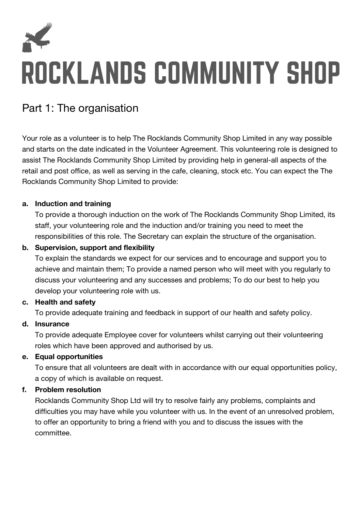

### Part 1: The organisation

Your role as a volunteer is to help The Rocklands Community Shop Limited in any way possible and starts on the date indicated in the Volunteer Agreement. This volunteering role is designed to assist The Rocklands Community Shop Limited by providing help in general-all aspects of the retail and post office, as well as serving in the cafe, cleaning, stock etc. You can expect the The Rocklands Community Shop Limited to provide:

#### **a. Induction and training**

To provide a thorough induction on the work of The Rocklands Community Shop Limited, its staff, your volunteering role and the induction and/or training you need to meet the responsibilities of this role. The Secretary can explain the structure of the organisation.

#### **b. Supervision, support and flexibility**

To explain the standards we expect for our services and to encourage and support you to achieve and maintain them; To provide a named person who will meet with you regularly to discuss your volunteering and any successes and problems; To do our best to help you develop your volunteering role with us.

#### **c. Health and safety**

To provide adequate training and feedback in support of our health and safety policy.

#### **d. Insurance**

To provide adequate Employee cover for volunteers whilst carrying out their volunteering roles which have been approved and authorised by us.

#### **e. Equal opportunities**

To ensure that all volunteers are dealt with in accordance with our equal opportunities policy, a copy of which is available on request.

#### **f. Problem resolution**

Rocklands Community Shop Ltd will try to resolve fairly any problems, complaints and difficulties you may have while you volunteer with us. In the event of an unresolved problem, to offer an opportunity to bring a friend with you and to discuss the issues with the committee.